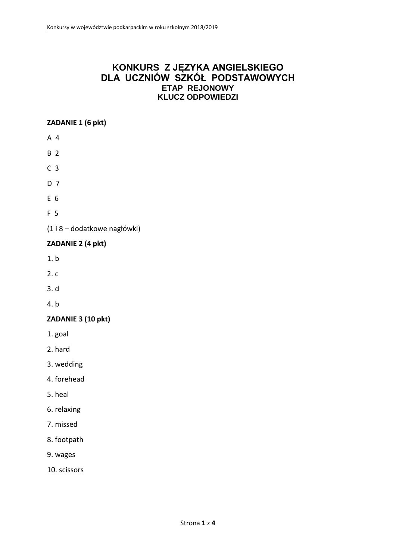# **KONKURS Z JĘZYKA ANGIELSKIEGO DLA UCZNIÓW SZKÓŁ PODSTAWOWYCH ETAP REJONOWY KLUCZ ODPOWIEDZI**

## **ZADANIE 1 (6 pkt)**

- A 4
- B 2
- C 3
- D 7
- E 6
- F 5
- (1 i 8 dodatkowe nagłówki)

## **ZADANIE 2 (4 pkt)**

- 1. b
- 2. c
- 3. d
- 4. b

## **ZADANIE 3 (10 pkt)**

- 1. goal
- 2. hard
- 3. wedding
- 4. forehead
- 5. heal
- 6. relaxing
- 7. missed
- 8. footpath
- 9. wages
- 10. scissors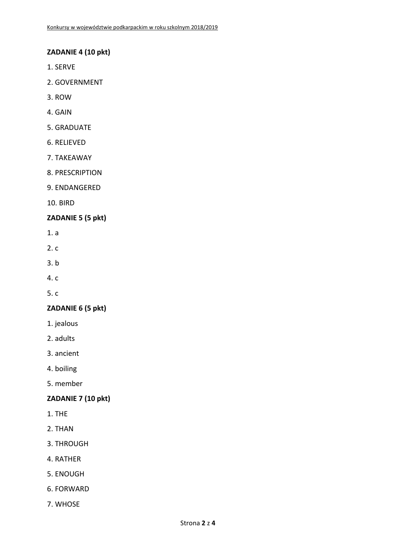#### **ZADANIE 4 (10 pkt)**

- 1. SERVE
- 2. GOVERNMENT
- 3. ROW
- 4. GAIN
- 5. GRADUATE
- 6. RELIEVED
- 7. TAKEAWAY
- 8. PRESCRIPTION
- 9. ENDANGERED
- 10. BIRD

#### **ZADANIE 5 (5 pkt)**

- 1. a
- 2. c
- 3. b
- 4. c
- 5. c

#### **ZADANIE 6 (5 pkt)**

- 1. jealous
- 2. adults
- 3. ancient
- 4. boiling
- 5. member

# **ZADANIE 7 (10 pkt)**

- 1. THE
- 2. THAN
- 3. THROUGH
- 4. RATHER
- 5. ENOUGH
- 6. FORWARD
- 7. WHOSE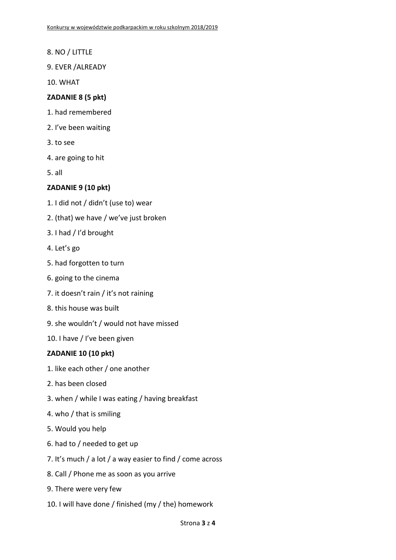- 8. NO / LITTLE
- 9. EVER /ALREADY
- 10. WHAT

#### **ZADANIE 8 (5 pkt)**

- 1. had remembered
- 2. I've been waiting
- 3. to see
- 4. are going to hit
- 5. all

#### **ZADANIE 9 (10 pkt)**

- 1. I did not / didn't (use to) wear
- 2. (that) we have / we've just broken
- 3. I had / I'd brought
- 4. Let's go
- 5. had forgotten to turn
- 6. going to the cinema
- 7. it doesn't rain / it's not raining
- 8. this house was built
- 9. she wouldn't / would not have missed
- 10. I have / I've been given

### **ZADANIE 10 (10 pkt)**

- 1. like each other / one another
- 2. has been closed
- 3. when / while I was eating / having breakfast
- 4. who / that is smiling
- 5. Would you help
- 6. had to / needed to get up
- 7. It's much / a lot / a way easier to find / come across
- 8. Call / Phone me as soon as you arrive
- 9. There were very few
- 10. I will have done / finished (my / the) homework